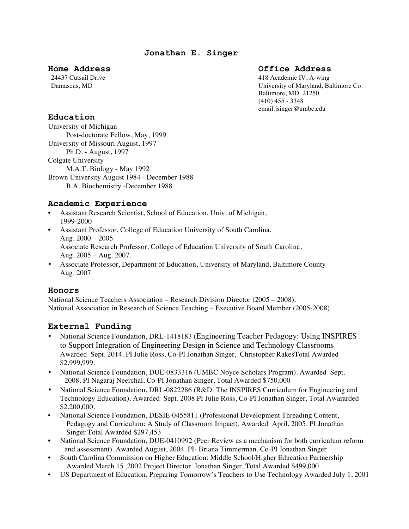### **Home Address Office Address**

24437 Cutsail Drive 418 Academic IV, A-wing Damascus, MD University of Maryland, Baltimore Co. Baltimore, MD 21250  $(410)$  455 - 3348 email:jsinger@umbc.edu

## **Education**

University of Michigan Post-doctorate Fellow, May, 1999 University of Missouri August, 1997 Ph.D. - August, 1997 Colgate University M.A.T. Biology - May 1992 Brown University August 1984 - December 1988 B.A. Biochemistry -December 1988

## **Academic Experience**

- Assistant Research Scientist, School of Education, Univ. of Michigan, 1999-2000
- Assistant Professor, College of Education University of South Carolina, Aug. 2000 – 2005 Associate Research Professor, College of Education University of South Carolina, Aug. 2005 – Aug. 2007.
- Associate Professor, Department of Education, University of Maryland, Baltimore County Aug. 2007

## **Honors**

National Science Teachers Association – Research Division Director (2005 – 2008). National Association in Research of Science Teaching – Executive Board Member (2005-2008).

## **External Funding**

- National Science Foundation, DRL-1418183 (Engineering Teacher Pedagogy: Using INSPIRES to Support Integration of Engineering Design in Science and Technology Classrooms. Awarded Sept. 2014. PI Julie Ross, Co-PI Jonathan Singer, Christopher RakesTotal Awarded \$2,999,999.
- National Science Foundation, DUE-0833316 (UMBC Noyce Scholars Program). Awarded Sept. 2008. PI Nagaraj Neerchal, Co-PI Jonathan Singer, Total Awarded \$750,000
- National Science Foundation, DRL-0822286 (R&D: The INSPIRES Curriculum for Engineering and Technology Education). Awarded Sept. 2008.PI Julie Ross, Co-PI Jonathan Singer, Total Awararded \$2,200,000.
- National Science Foundation, DESIE-0455811 (Professional Development Threading Content, Pedagogy and Curriculum: A Study of Classroom Impact). Awarded April, 2005. PI Jonathan Singer Total Awarded \$297,453
- National Science Foundation, DUE-0410992 (Peer Review as a mechanism for both curriculum reform and assessment). Awarded August, 2004. PI- Briana Timmerman, Co-PI Jonathan Singer
- South Carolina Commission on Higher Education: Middle School/Higher Education Partnership Awarded March 15 ,2002 Project Director Jonathan Singer, Total Awarded \$499,000.
- US Department of Education, Preparing Tomorrow's Teachers to Use Technology Awarded July 1, 2001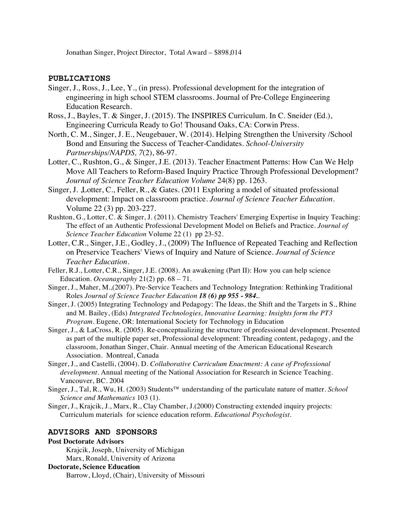Jonathan Singer, Project Director, Total Award – \$898,014

#### **PUBLICATIONS**

- Singer, J., Ross, J., Lee, Y., (in press). Professional development for the integration of engineering in high school STEM classrooms. Journal of Pre-College Engineering Education Research.
- Ross, J., Bayles, T. & Singer, J. (2015). The INSPIRES Curriculum. In C. Sneider (Ed.), Engineering Curricula Ready to Go! Thousand Oaks, CA: Corwin Press.
- North, C. M., Singer, J. E., Neugebauer, W. (2014). Helping Strengthen the University /School Bond and Ensuring the Success of Teacher-Candidates. *School-University Partnerships/NAPDS, 7*(2), 86-97.
- Lotter, C., Rushton, G., & Singer, J.E. (2013). Teacher Enactment Patterns: How Can We Help Move All Teachers to Reform-Based Inquiry Practice Through Professional Development? *Journal of Science Teacher Education Volume* 24(8) pp. 1263.
- Singer, J. ,Lotter, C., Feller, R., & Gates. (2011 Exploring a model of situated professional development: Impact on classroom practice. *Journal of Science Teacher Education*. Volume 22 (3) pp. 203-227.
- Rushton, G., Lotter, C. & Singer, J. (2011). Chemistry Teachers' Emerging Expertise in Inquiry Teaching: The effect of an Authentic Professional Development Model on Beliefs and Practice. *Journal of Science Teacher Education* Volume 22 (1) pp 23-52.
- Lotter, C.R., Singer, J.E., Godley, J., (2009) The Influence of Repeated Teaching and Reflection on Preservice Teachers' Views of Inquiry and Nature of Science. *Journal of Science Teacher Education.*
- Feller, R.J., Lotter, C.R., Singer, J.E. (2008). An awakening (Part II): How you can help science Education. *Oceanagraphy* 21(2) pp. 68 – 71.
- Singer, J., Maher, M.,(2007). Pre-Service Teachers and Technology Integration: Rethinking Traditional Roles *Journal of Science Teacher Education 18 (6) pp 955 - 984..*
- Singer, J. (2005) Integrating Technology and Pedagogy: The Ideas, the Shift and the Targets in S., Rhine and M. Bailey, (Eds) *Integrated Technologies, Innovative Learning: Insights form the PT3 Program.* Eugene, OR: International Society for Technology in Education
- Singer, J., & LaCross, R. (2005). Re-conceptualizing the structure of professional development. Presented as part of the multiple paper set, Professional development: Threading content, pedagogy, and the classroom, Jonathan Singer, Chair. Annual meeting of the American Educational Research Association. Montreal, Canada
- Singer, J., and Castelli, (2004). D. *Collaborative Curriculum Enactment: A case of Professional development*. Annual meeting of the National Association for Research in Science Teaching. Vancouver, BC. 2004
- Singer, J., Tal, R., Wu, H. (2003) Students™ understanding of the particulate nature of matter. *School Science and Mathematics* 103 (1).
- Singer, J., Krajcik, J., Marx, R., Clay Chamber, J.(2000) Constructing extended inquiry projects: Curriculum materials for science education reform. *Educational Psychologist*.

#### **ADVISORS AND SPONSORS**

#### **Post Doctorate Advisors**

Krajcik, Joseph, University of Michigan Marx, Ronald, University of Arizona

# **Doctorate, Science Education**

Barrow, Lloyd, (Chair), University of Missouri